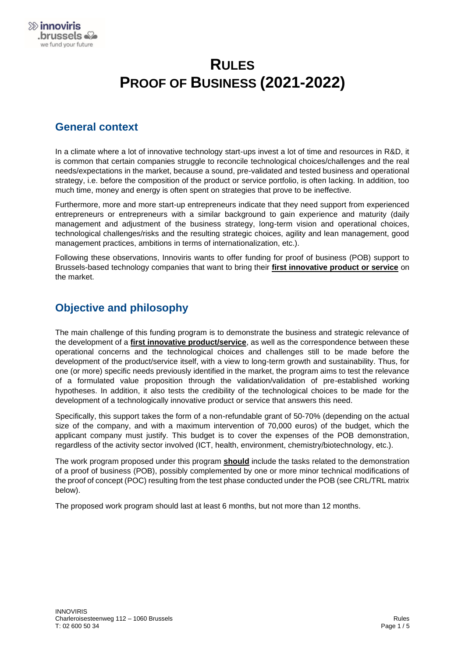# **RULES PROOF OF BUSINESS (2021-2022)**

#### **General context**

In a climate where a lot of innovative technology start-ups invest a lot of time and resources in R&D, it is common that certain companies struggle to reconcile technological choices/challenges and the real needs/expectations in the market, because a sound, pre-validated and tested business and operational strategy, i.e. before the composition of the product or service portfolio, is often lacking. In addition, too much time, money and energy is often spent on strategies that prove to be ineffective.

Furthermore, more and more start-up entrepreneurs indicate that they need support from experienced entrepreneurs or entrepreneurs with a similar background to gain experience and maturity (daily management and adjustment of the business strategy, long-term vision and operational choices, technological challenges/risks and the resulting strategic choices, agility and lean management, good management practices, ambitions in terms of internationalization, etc.).

Following these observations, Innoviris wants to offer funding for proof of business (POB) support to Brussels-based technology companies that want to bring their **first innovative product or service** on the market.

#### **Objective and philosophy**

The main challenge of this funding program is to demonstrate the business and strategic relevance of the development of a **first innovative product/service**, as well as the correspondence between these operational concerns and the technological choices and challenges still to be made before the development of the product/service itself, with a view to long-term growth and sustainability. Thus, for one (or more) specific needs previously identified in the market, the program aims to test the relevance of a formulated value proposition through the validation/validation of pre-established working hypotheses. In addition, it also tests the credibility of the technological choices to be made for the development of a technologically innovative product or service that answers this need.

Specifically, this support takes the form of a non-refundable grant of 50-70% (depending on the actual size of the company, and with a maximum intervention of 70,000 euros) of the budget, which the applicant company must justify. This budget is to cover the expenses of the POB demonstration, regardless of the activity sector involved (ICT, health, environment, chemistry/biotechnology, etc.).

The work program proposed under this program **should** include the tasks related to the demonstration of a proof of business (POB), possibly complemented by one or more minor technical modifications of the proof of concept (POC) resulting from the test phase conducted under the POB (see CRL/TRL matrix below).

The proposed work program should last at least 6 months, but not more than 12 months.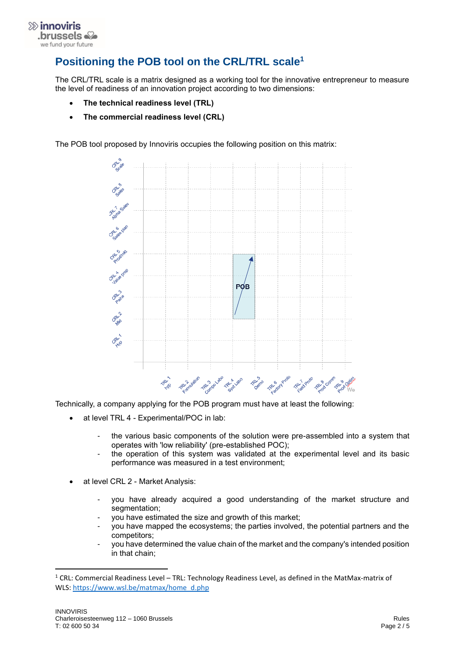

### **Positioning the POB tool on the CRL/TRL scale<sup>1</sup>**

The CRL/TRL scale is a matrix designed as a working tool for the innovative entrepreneur to measure the level of readiness of an innovation project according to two dimensions:

- **The technical readiness level (TRL)**
- **The commercial readiness level (CRL)**

The POB tool proposed by Innoviris occupies the following position on this matrix:



Technically, a company applying for the POB program must have at least the following:

- at level TRL 4 Experimental/POC in lab:
	- the various basic components of the solution were pre-assembled into a system that operates with 'low reliability' (pre-established POC);
	- the operation of this system was validated at the experimental level and its basic performance was measured in a test environment;
- at level CRL 2 Market Analysis:
	- you have already acquired a good understanding of the market structure and segmentation:
	- you have estimated the size and growth of this market;
	- you have mapped the ecosystems; the parties involved, the potential partners and the competitors;
	- you have determined the value chain of the market and the company's intended position in that chain;

<sup>&</sup>lt;sup>1</sup> CRL: Commercial Readiness Level – TRL: Technology Readiness Level, as defined in the MatMax-matrix of WLS[: https://www.wsl.be/matmax/home\\_d.php](https://www.wsl.be/matmax/home_d.php)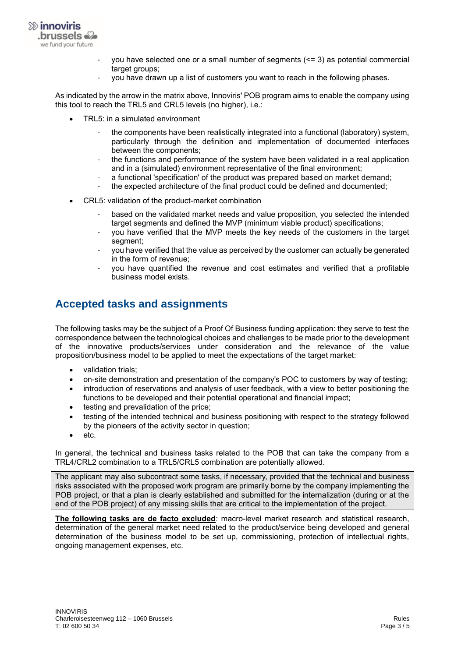

- you have selected one or a small number of segments (<= 3) as potential commercial target groups:
- you have drawn up a list of customers you want to reach in the following phases.

As indicated by the arrow in the matrix above, Innoviris' POB program aims to enable the company using this tool to reach the TRL5 and CRL5 levels (no higher), i.e.:

- TRL5: in a simulated environment
	- the components have been realistically integrated into a functional (laboratory) system, particularly through the definition and implementation of documented interfaces between the components;
	- the functions and performance of the system have been validated in a real application and in a (simulated) environment representative of the final environment;
	- a functional 'specification' of the product was prepared based on market demand:
	- the expected architecture of the final product could be defined and documented;
- CRL5: validation of the product-market combination
	- based on the validated market needs and value proposition, you selected the intended target segments and defined the MVP (minimum viable product) specifications;
	- you have verified that the MVP meets the key needs of the customers in the target segment;
	- you have verified that the value as perceived by the customer can actually be generated in the form of revenue;
	- you have quantified the revenue and cost estimates and verified that a profitable business model exists.

#### **Accepted tasks and assignments**

The following tasks may be the subject of a Proof Of Business funding application: they serve to test the correspondence between the technological choices and challenges to be made prior to the development of the innovative products/services under consideration and the relevance of the value proposition/business model to be applied to meet the expectations of the target market:

- validation trials;
- on-site demonstration and presentation of the company's POC to customers by way of testing;
- introduction of reservations and analysis of user feedback, with a view to better positioning the functions to be developed and their potential operational and financial impact;
- testing and prevalidation of the price;
- testing of the intended technical and business positioning with respect to the strategy followed by the pioneers of the activity sector in question;
- etc.

In general, the technical and business tasks related to the POB that can take the company from a TRL4/CRL2 combination to a TRL5/CRL5 combination are potentially allowed.

The applicant may also subcontract some tasks, if necessary, provided that the technical and business risks associated with the proposed work program are primarily borne by the company implementing the POB project, or that a plan is clearly established and submitted for the internalization (during or at the end of the POB project) of any missing skills that are critical to the implementation of the project.

**The following tasks are de facto excluded**: macro-level market research and statistical research, determination of the general market need related to the product/service being developed and general determination of the business model to be set up, commissioning, protection of intellectual rights, ongoing management expenses, etc.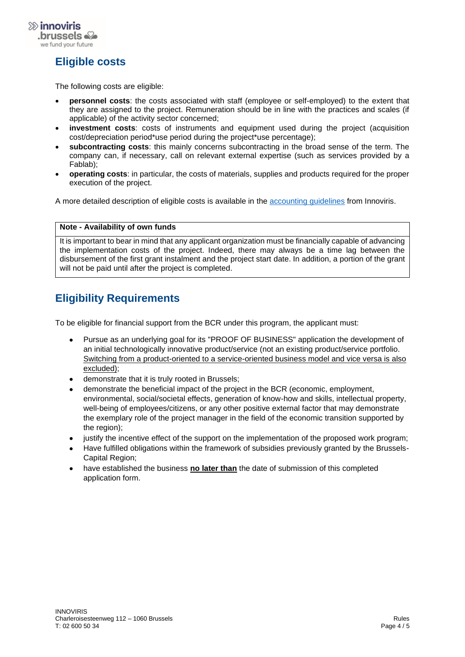

## **Eligible costs**

The following costs are eligible:

- **personnel costs**: the costs associated with staff (employee or self-employed) to the extent that they are assigned to the project. Remuneration should be in line with the practices and scales (if applicable) of the activity sector concerned;
- **investment costs**: costs of instruments and equipment used during the project (acquisition cost/depreciation period\*use period during the project\*use percentage);
- **subcontracting costs**: this mainly concerns subcontracting in the broad sense of the term. The company can, if necessary, call on relevant external expertise (such as services provided by a Fablab);
- **operating costs**: in particular, the costs of materials, supplies and products required for the proper execution of the project.

A more detailed description of eligible costs is available in the [accounting guidelines](mailto:https://innoviris.brussels/documents/general-accounting-directives-2021) from Innoviris.

#### **Note - Availability of own funds**

It is important to bear in mind that any applicant organization must be financially capable of advancing the implementation costs of the project. Indeed, there may always be a time lag between the disbursement of the first grant instalment and the project start date. In addition, a portion of the grant will not be paid until after the project is completed.

### **Eligibility Requirements**

To be eligible for financial support from the BCR under this program, the applicant must:

- Pursue as an underlying goal for its "PROOF OF BUSINESS" application the development of an initial technologically innovative product/service (not an existing product/service portfolio. Switching from a product-oriented to a service-oriented business model and vice versa is also excluded);
- demonstrate that it is truly rooted in Brussels;
- demonstrate the beneficial impact of the project in the BCR (economic, employment, environmental, social/societal effects, generation of know-how and skills, intellectual property, well-being of employees/citizens, or any other positive external factor that may demonstrate the exemplary role of the project manager in the field of the economic transition supported by the region);
- justify the incentive effect of the support on the implementation of the proposed work program;
- Have fulfilled obligations within the framework of subsidies previously granted by the Brussels-Capital Region;
- have established the business **no later than** the date of submission of this completed application form.